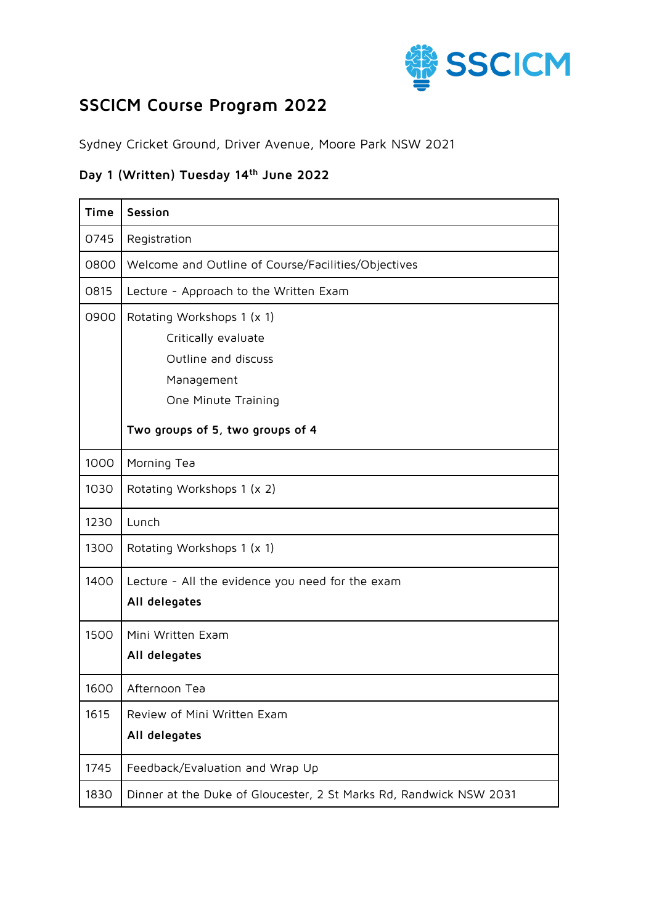

## **SSCICM Course Program 2022**

Sydney Cricket Ground, Driver Avenue, Moore Park NSW 2021

## **Day 1 (Written) Tuesday 14th June 2022**

| Time | Session                                                                                                                                           |
|------|---------------------------------------------------------------------------------------------------------------------------------------------------|
| 0745 | Registration                                                                                                                                      |
| 0800 | Welcome and Outline of Course/Facilities/Objectives                                                                                               |
| 0815 | Lecture - Approach to the Written Exam                                                                                                            |
| 0900 | Rotating Workshops 1 (x 1)<br>Critically evaluate<br>Outline and discuss<br>Management<br>One Minute Training<br>Two groups of 5, two groups of 4 |
| 1000 | Morning Tea                                                                                                                                       |
| 1030 | Rotating Workshops 1 (x 2)                                                                                                                        |
| 1230 | Lunch                                                                                                                                             |
| 1300 | Rotating Workshops 1 (x 1)                                                                                                                        |
| 1400 | Lecture - All the evidence you need for the exam<br>All delegates                                                                                 |
| 1500 | Mini Written Exam<br>All delegates                                                                                                                |
| 1600 | Afternoon Tea                                                                                                                                     |
| 1615 | Review of Mini Written Exam<br>All delegates                                                                                                      |
| 1745 | Feedback/Evaluation and Wrap Up                                                                                                                   |
| 1830 | Dinner at the Duke of Gloucester, 2 St Marks Rd, Randwick NSW 2031                                                                                |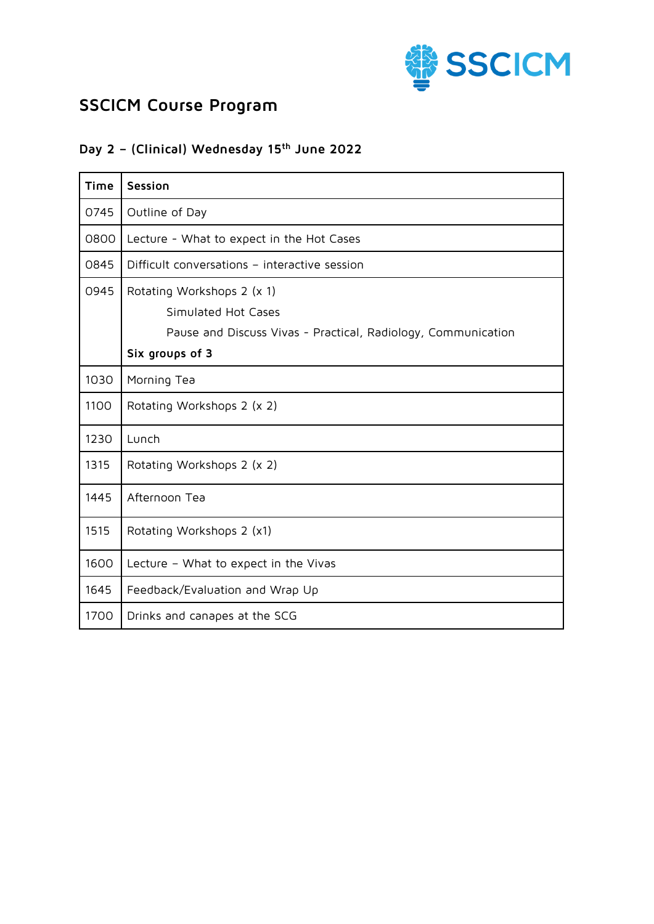

# **SSCICM Course Program**

#### **Day 2 – (Clinical) Wednesday 15 th June 2022**

| <b>Time</b> | Session                                                                                                                               |
|-------------|---------------------------------------------------------------------------------------------------------------------------------------|
| 0745        | Outline of Day                                                                                                                        |
| 0800        | Lecture - What to expect in the Hot Cases                                                                                             |
| 0845        | Difficult conversations - interactive session                                                                                         |
| 0945        | Rotating Workshops 2 (x 1)<br>Simulated Hot Cases<br>Pause and Discuss Vivas - Practical, Radiology, Communication<br>Six groups of 3 |
| 1030        | Morning Tea                                                                                                                           |
| 1100        | Rotating Workshops 2 (x 2)                                                                                                            |
| 1230        | Lunch                                                                                                                                 |
| 1315        | Rotating Workshops 2 (x 2)                                                                                                            |
| 1445        | Afternoon Tea                                                                                                                         |
| 1515        | Rotating Workshops 2 (x1)                                                                                                             |
| 1600        | Lecture - What to expect in the Vivas                                                                                                 |
| 1645        | Feedback/Evaluation and Wrap Up                                                                                                       |
| 1700        | Drinks and canapes at the SCG                                                                                                         |